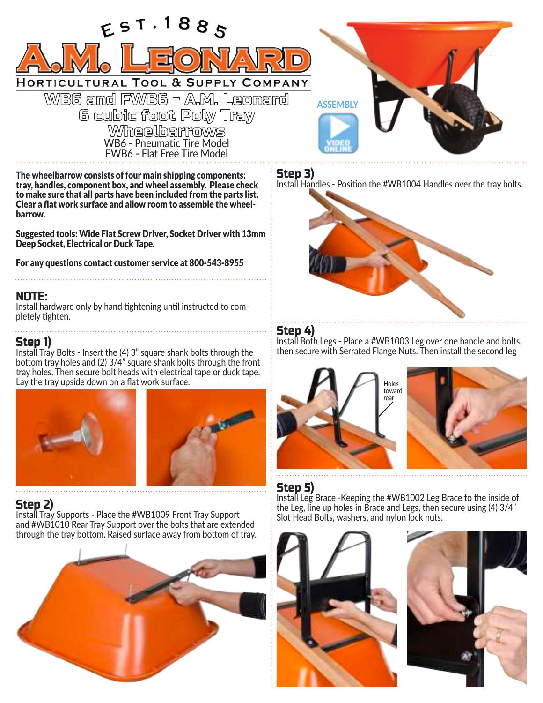

The wheelbarrow consists of four main shipping components: FWB6 - Flat Free Tire Model

tray, handles, component box, and wheel assembly. Please check to make sure that all parts have been included from the parts list. Clear a flat work surface and allow room to assemble the wheelbarrow.

Suggested tools: Wide Flat Screw Driver, Socket Driver with 13mm Deep Socket, Electrical or Duck Tape.

For any questions contact customer service at 800-543-8955

### NOTE:

Install hardware only by hand tightening until instructed to completely tighten.

#### Step 1)

Install Tray Bolts - Insert the (4) 3" square shank bolts through the bottom tray holes and (2) 3/4" square shank bolts through the front tray holes. Then secure bolt heads with electrical tape or duck tape. Lay the tray upside down on a flat work surface.





## Step 2)

Install Tray Supports - Place the #WB1009 Front Tray Support and #WB1010 Rear Tray Support over the bolts that are extended through the tray bottom. Raised surface away from bottom of tray.



**ASSEMBLY**

Step 3)

Install Handles - Position the #WB1004 Handles over the tray bolts.



## Step 4)

Install Both Legs - Place a #WB1003 Leg over one handle and bolts, then secure with Serrated Flange Nuts. Then install the second leg



# Step 5)

Install Leg Brace -Keeping the #WB1002 Leg Brace to the inside of the Leg, line up holes in Brace and Legs, then secure using (4) 3/4" Slot Head Bolts, washers, and nylon lock nuts.



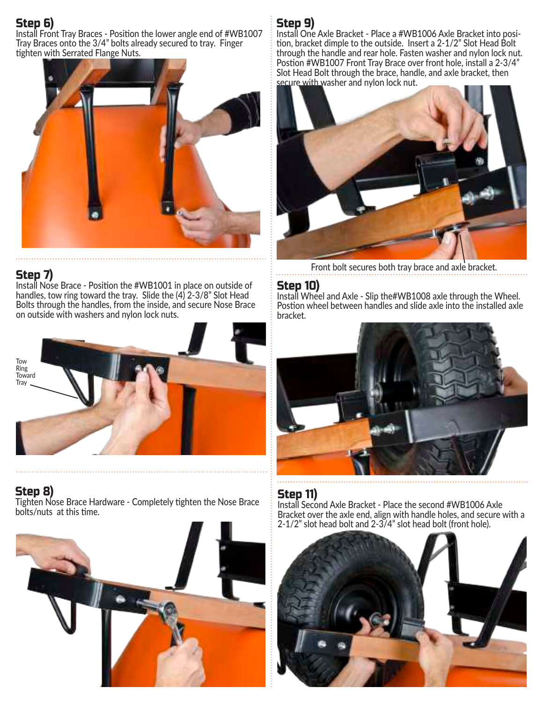# Step 6)

Install Front Tray Braces - Position the lower angle end of #WB1007 Tray Braces onto the 3/4" bolts already secured to tray. Finger tighten with Serrated Flange Nuts.



## Step 7)

Install Nose Brace - Position the #WB1001 in place on outside of handles, tow ring toward the tray. Slide the (4) 2-3/8" Slot Head Bolts through the handles, from the inside, and secure Nose Brace on outside with washers and nylon lock nuts.



Step 8) Tighten Nose Brace Hardware - Completely tighten the Nose Brace bolts/nuts at this time.



# Step 9)

Install One Axle Bracket - Place a #WB1006 Axle Bracket into position, bracket dimple to the outside. Insert a 2-1/2" Slot Head Bolt through the handle and rear hole. Fasten washer and nylon lock nut. Postion #WB1007 Front Tray Brace over front hole, install a 2-3/4" Slot Head Bolt through the brace, handle, and axle bracket, then secure with washer and nylon lock nut.



Front bolt secures both tray brace and axle bracket.

## Step 10)

Install Wheel and Axle - Slip the#WB1008 axle through the Wheel. Postion wheel between handles and slide axle into the installed axle bracket.



## Step 11)

Install Second Axle Bracket - Place the second #WB1006 Axle Bracket over the axle end, align with handle holes, and secure with a 2-1/2" slot head bolt and 2-3/4" slot head bolt (front hole).

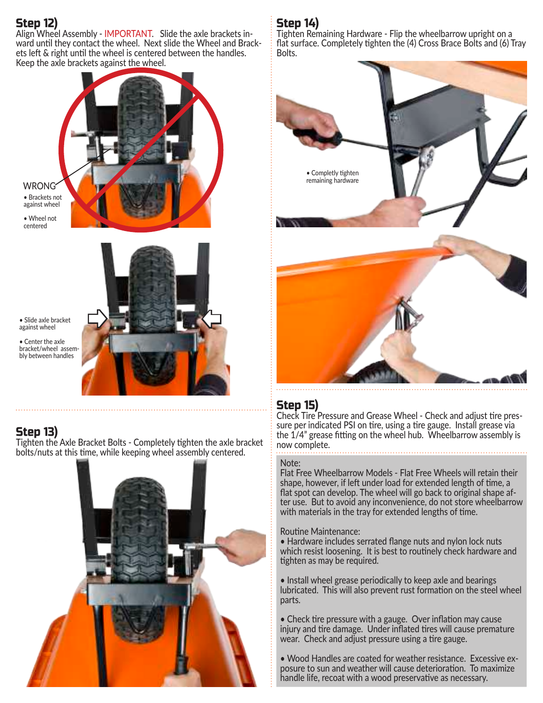# Step 12)

Align Wheel Assembly - IMPORTANT. Slide the axle brackets inward until they contact the wheel. Next slide the Wheel and Brackets left & right until the wheel is centered between the handles. Keep the axle brackets against the wheel.



WRONG • Brackets not against wheel

• Wheel not centered



• Slide axle bracket against wheel

• Center the axle bracket/wheel assembly between handles

## Step 13)

Tighten the Axle Bracket Bolts - Completely tighten the axle bracket bolts/nuts at this time, while keeping wheel assembly centered.



# Step 14)

Tighten Remaining Hardware - Flip the wheelbarrow upright on a flat surface. Completely tighten the (4) Cross Brace Bolts and (6) Tray Bolts.



## Step 15)

Check Tire Pressure and Grease Wheel - Check and adjust tire pressure per indicated PSI on tire, using a tire gauge. Install grease via the 1/4" grease fitting on the wheel hub. Wheelbarrow assembly is now complete.

#### Note:

Flat Free Wheelbarrow Models - Flat Free Wheels will retain their shape, however, if left under load for extended length of time, a flat spot can develop. The wheel will go back to original shape after use. But to avoid any inconvenience, do not store wheelbarrow with materials in the tray for extended lengths of time.

#### Routine Maintenance:

• Hardware includes serrated flange nuts and nylon lock nuts which resist loosening. It is best to routinely check hardware and tighten as may be required.

• Install wheel grease periodically to keep axle and bearings lubricated. This will also prevent rust formation on the steel wheel parts.

• Check tire pressure with a gauge. Over inflation may cause injury and tire damage. Under inflated tires will cause premature wear. Check and adjust pressure using a tire gauge.

• Wood Handles are coated for weather resistance. Excessive exposure to sun and weather will cause deterioration. To maximize handle life, recoat with a wood preservative as necessary.